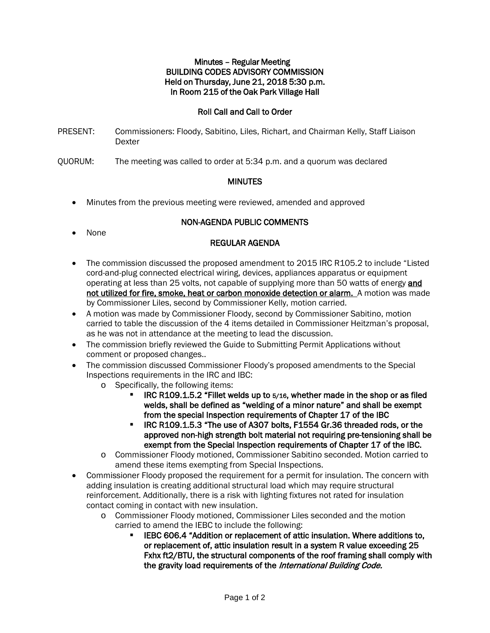### Minutes – Regular Meeting BUILDING CODES ADVISORY COMMISSION Held on Thursday, June 21, 2018 5:30 p.m. In Room 215 of the Oak Park Village Hall

## Roll Call and Call to Order

- PRESENT: Commissioners: Floody, Sabitino, Liles, Richart, and Chairman Kelly, Staff Liaison Dexter
- QUORUM: The meeting was called to order at 5:34 p.m. and a quorum was declared

### **MINUTES**

• Minutes from the previous meeting were reviewed, amended and approved

# NON-AGENDA PUBLIC COMMENTS

• None

# REGULAR AGENDA

- The commission discussed the proposed amendment to 2015 IRC R105.2 to include "Listed" cord-and-plug connected electrical wiring, devices, appliances apparatus or equipment operating at less than 25 volts, not capable of supplying more than 50 watts of energy and not utilized for fire, smoke, heat or carbon monoxide detection or alarm. A motion was made by Commissioner Liles, second by Commissioner Kelly, motion carried.
- A motion was made by Commissioner Floody, second by Commissioner Sabitino, motion carried to table the discussion of the 4 items detailed in Commissioner Heitzman's proposal, as he was not in attendance at the meeting to lead the discussion.
- The commission briefly reviewed the Guide to Submitting Permit Applications without comment or proposed changes..
- The commission discussed Commissioner Floody's proposed amendments to the Special Inspections requirements in the IRC and IBC:
	- o Specifically, the following items:
		- IRC R109.1.5.2 "Fillet welds up to 5/16, whether made in the shop or as filed welds, shall be defined as "welding of a minor nature" and shall be exempt from the special Inspection requirements of Chapter 17 of the IBC
		- **IRC R109.1.5.3 "The use of A307 bolts, F1554 Gr.36 threaded rods, or the** approved non-high strength bolt material not requiring pre-tensioning shall be exempt from the Special Inspection requirements of Chapter 17 of the IBC.
	- o Commissioner Floody motioned, Commissioner Sabitino seconded. Motion carried to amend these items exempting from Special Inspections.
- Commissioner Floody proposed the requirement for a permit for insulation. The concern with adding insulation is creating additional structural load which may require structural reinforcement. Additionally, there is a risk with lighting fixtures not rated for insulation contact coming in contact with new insulation.
	- o Commissioner Floody motioned, Commissioner Liles seconded and the motion carried to amend the IEBC to include the following:
		- IEBC 606.4 "Addition or replacement of attic insulation. Where additions to, or replacement of, attic insulation result in a system R value exceeding 25 Fxhx ft2/BTU, the structural components of the roof framing shall comply with the gravity load requirements of the International Building Code.